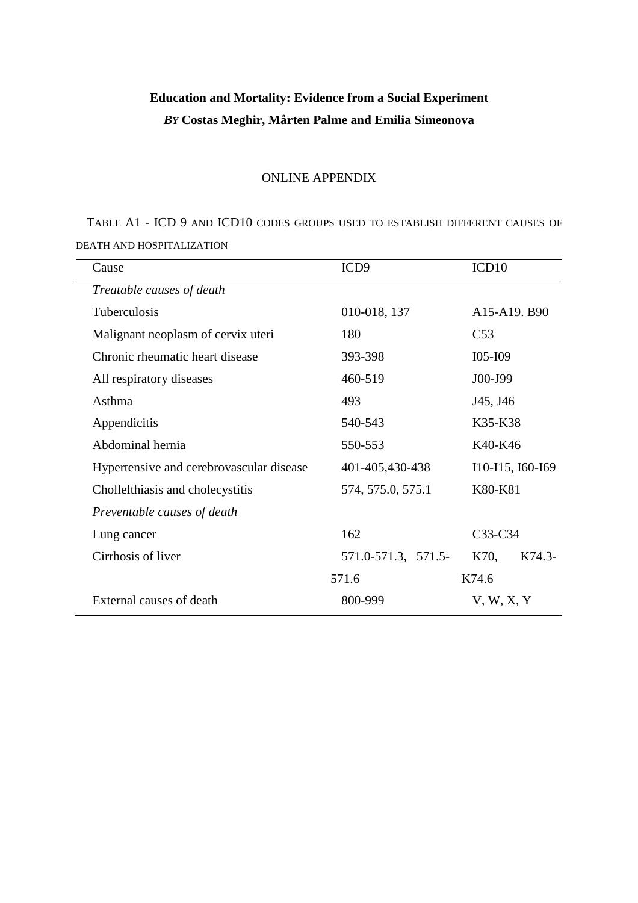# **Education and Mortality: Evidence from a Social Experiment**  *BY* **Costas Meghir, Mårten Palme and Emilia Simeonova**

#### ONLINE APPENDIX

TABLE A1 - ICD 9 AND ICD10 CODES GROUPS USED TO ESTABLISH DIFFERENT CAUSES OF DEATH AND HOSPITALIZATION

| Cause                                    | ICD <sub>9</sub>    | ICD <sub>10</sub> |  |
|------------------------------------------|---------------------|-------------------|--|
| Treatable causes of death                |                     |                   |  |
| Tuberculosis                             | 010-018, 137        | A15-A19. B90      |  |
| Malignant neoplasm of cervix uteri       | 180                 | C <sub>53</sub>   |  |
| Chronic rheumatic heart disease          | 393-398             | $IO5-I09$         |  |
| All respiratory diseases                 | 460-519             | J00-J99           |  |
| Asthma                                   | 493                 | J45, J46          |  |
| Appendicitis                             | 540-543             | K35-K38           |  |
| Abdominal hernia                         | 550-553             | K40-K46           |  |
| Hypertensive and cerebrovascular disease | 401-405,430-438     | I10-I15, I60-I69  |  |
| Chollelthiasis and cholecystitis         | 574, 575.0, 575.1   | K80-K81           |  |
| Preventable causes of death              |                     |                   |  |
| Lung cancer                              | 162                 | C33-C34           |  |
| Cirrhosis of liver                       | 571.0-571.3, 571.5- | K74.3-<br>K70,    |  |
|                                          | 571.6               | K74.6             |  |
| External causes of death                 | 800-999             | V, W, X, Y        |  |
|                                          |                     |                   |  |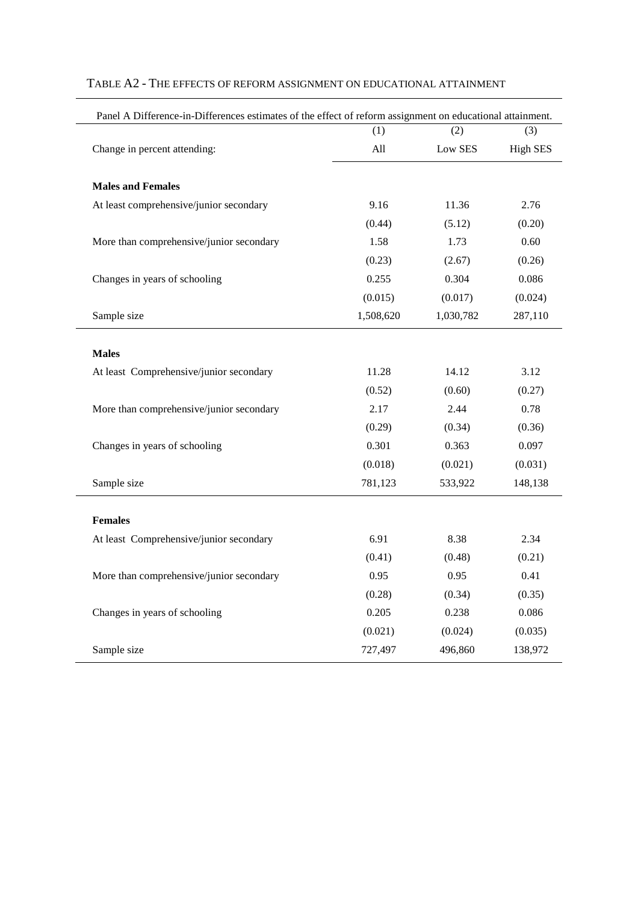| Panel A Difference-in-Differences estimates of the effect of reform assignment on educational attainment. |           |           |                 |
|-----------------------------------------------------------------------------------------------------------|-----------|-----------|-----------------|
|                                                                                                           | (1)       | (2)       | (3)             |
| Change in percent attending:                                                                              | All       | Low SES   | <b>High SES</b> |
| <b>Males and Females</b>                                                                                  |           |           |                 |
| At least comprehensive/junior secondary                                                                   | 9.16      | 11.36     | 2.76            |
|                                                                                                           | (0.44)    | (5.12)    | (0.20)          |
| More than comprehensive/junior secondary                                                                  | 1.58      | 1.73      | 0.60            |
|                                                                                                           | (0.23)    | (2.67)    | (0.26)          |
| Changes in years of schooling                                                                             | 0.255     | 0.304     | 0.086           |
|                                                                                                           | (0.015)   | (0.017)   | (0.024)         |
| Sample size                                                                                               | 1,508,620 | 1,030,782 | 287,110         |
| <b>Males</b>                                                                                              |           |           |                 |
| At least Comprehensive/junior secondary                                                                   | 11.28     | 14.12     | 3.12            |
|                                                                                                           | (0.52)    | (0.60)    | (0.27)          |
| More than comprehensive/junior secondary                                                                  | 2.17      | 2.44      | 0.78            |
|                                                                                                           | (0.29)    | (0.34)    | (0.36)          |
| Changes in years of schooling                                                                             | 0.301     | 0.363     | 0.097           |
|                                                                                                           | (0.018)   | (0.021)   | (0.031)         |
| Sample size                                                                                               | 781,123   | 533,922   | 148,138         |
| <b>Females</b>                                                                                            |           |           |                 |
| At least Comprehensive/junior secondary                                                                   | 6.91      | 8.38      | 2.34            |
|                                                                                                           | (0.41)    | (0.48)    | (0.21)          |
| More than comprehensive/junior secondary                                                                  | 0.95      | 0.95      | 0.41            |
|                                                                                                           | (0.28)    | (0.34)    | (0.35)          |
| Changes in years of schooling                                                                             | 0.205     | 0.238     | 0.086           |
|                                                                                                           | (0.021)   | (0.024)   | (0.035)         |
| Sample size                                                                                               | 727,497   | 496,860   | 138,972         |

# TABLE A2 - THE EFFECTS OF REFORM ASSIGNMENT ON EDUCATIONAL ATTAINMENT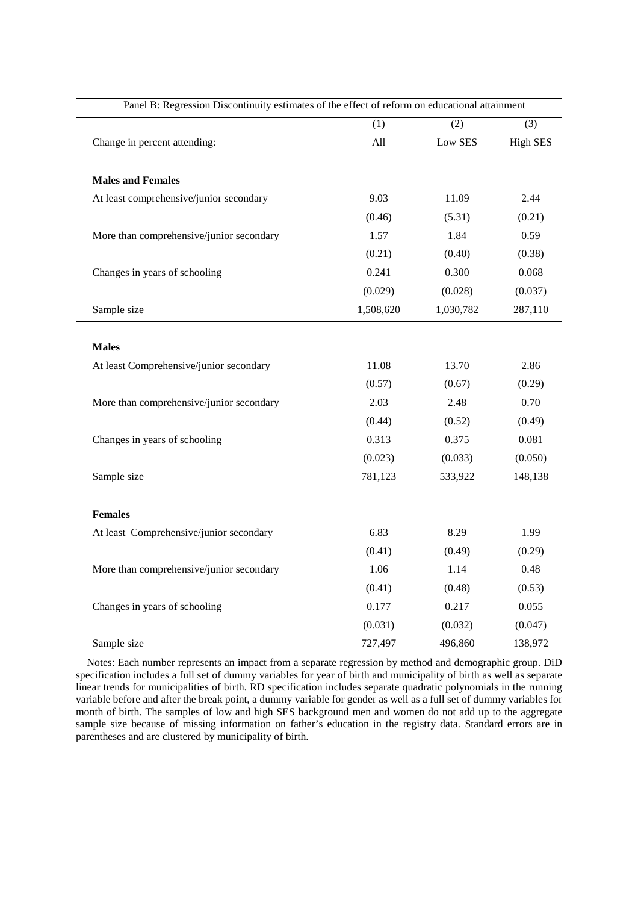| Panel B: Regression Discontinuity estimates of the effect of reform on educational attainment |           |           |                 |  |
|-----------------------------------------------------------------------------------------------|-----------|-----------|-----------------|--|
|                                                                                               | (1)       | (2)       | (3)             |  |
| Change in percent attending:                                                                  | All       | Low SES   | <b>High SES</b> |  |
| <b>Males and Females</b>                                                                      |           |           |                 |  |
| At least comprehensive/junior secondary                                                       | 9.03      | 11.09     | 2.44            |  |
|                                                                                               | (0.46)    | (5.31)    | (0.21)          |  |
| More than comprehensive/junior secondary                                                      | 1.57      | 1.84      | 0.59            |  |
|                                                                                               | (0.21)    | (0.40)    | (0.38)          |  |
| Changes in years of schooling                                                                 | 0.241     | 0.300     | 0.068           |  |
|                                                                                               | (0.029)   | (0.028)   | (0.037)         |  |
| Sample size                                                                                   | 1,508,620 | 1,030,782 | 287,110         |  |
|                                                                                               |           |           |                 |  |
| <b>Males</b>                                                                                  |           |           |                 |  |
| At least Comprehensive/junior secondary                                                       | 11.08     | 13.70     | 2.86            |  |
|                                                                                               | (0.57)    | (0.67)    | (0.29)          |  |
| More than comprehensive/junior secondary                                                      | 2.03      | 2.48      | 0.70            |  |
|                                                                                               | (0.44)    | (0.52)    | (0.49)          |  |
| Changes in years of schooling                                                                 | 0.313     | 0.375     | 0.081           |  |
|                                                                                               | (0.023)   | (0.033)   | (0.050)         |  |
| Sample size                                                                                   | 781,123   | 533,922   | 148,138         |  |
| <b>Females</b>                                                                                |           |           |                 |  |
| At least Comprehensive/junior secondary                                                       | 6.83      | 8.29      | 1.99            |  |
|                                                                                               | (0.41)    | (0.49)    | (0.29)          |  |
| More than comprehensive/junior secondary                                                      | 1.06      | 1.14      | 0.48            |  |
|                                                                                               | (0.41)    | (0.48)    | (0.53)          |  |
| Changes in years of schooling                                                                 | 0.177     | 0.217     | 0.055           |  |
|                                                                                               | (0.031)   | (0.032)   | (0.047)         |  |
| Sample size                                                                                   | 727,497   | 496,860   | 138,972         |  |

Notes: Each number represents an impact from a separate regression by method and demographic group. DiD specification includes a full set of dummy variables for year of birth and municipality of birth as well as separate linear trends for municipalities of birth. RD specification includes separate quadratic polynomials in the running variable before and after the break point, a dummy variable for gender as well as a full set of dummy variables for month of birth. The samples of low and high SES background men and women do not add up to the aggregate sample size because of missing information on father's education in the registry data. Standard errors are in parentheses and are clustered by municipality of birth.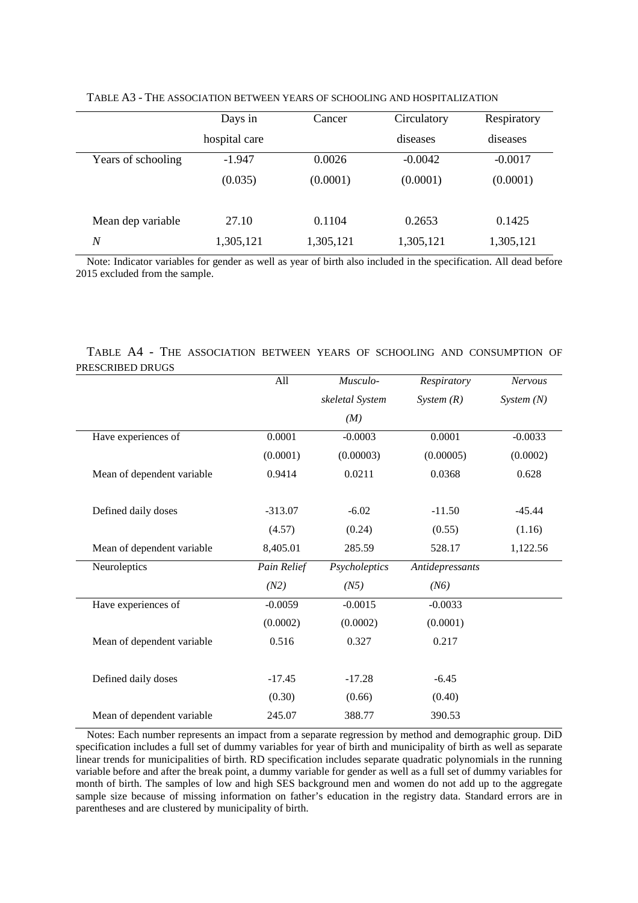|                    | Days in       | Cancer    | Circulatory | Respiratory |
|--------------------|---------------|-----------|-------------|-------------|
|                    | hospital care |           | diseases    | diseases    |
| Years of schooling | $-1.947$      | 0.0026    | $-0.0042$   | $-0.0017$   |
|                    | (0.035)       | (0.0001)  | (0.0001)    | (0.0001)    |
| Mean dep variable  | 27.10         | 0.1104    | 0.2653      | 0.1425      |
| N                  | 1,305,121     | 1,305,121 | 1,305,121   | 1,305,121   |

TABLE A3 - THE ASSOCIATION BETWEEN YEARS OF SCHOOLING AND HOSPITALIZATION

Note: Indicator variables for gender as well as year of birth also included in the specification. All dead before 2015 excluded from the sample.

#### TABLE A4 - THE ASSOCIATION BETWEEN YEARS OF SCHOOLING AND CONSUMPTION OF PRESCRIBED DRUGS

|                            | All         | Musculo-        | Respiratory     | <b>Nervous</b> |
|----------------------------|-------------|-----------------|-----------------|----------------|
|                            |             | skeletal System | System $(R)$    | System(N)      |
|                            |             | (M)             |                 |                |
| Have experiences of        | 0.0001      | $-0.0003$       | 0.0001          | $-0.0033$      |
|                            | (0.0001)    | (0.00003)       | (0.00005)       | (0.0002)       |
| Mean of dependent variable | 0.9414      | 0.0211          | 0.0368          | 0.628          |
| Defined daily doses        | $-313.07$   | $-6.02$         | $-11.50$        | $-45.44$       |
|                            | (4.57)      | (0.24)          | (0.55)          | (1.16)         |
| Mean of dependent variable | 8,405.01    | 285.59          | 528.17          | 1,122.56       |
| Neuroleptics               | Pain Relief | Psycholeptics   | Antidepressants |                |
|                            | (N2)        | (N5)            | (N6)            |                |
| Have experiences of        | $-0.0059$   | $-0.0015$       | $-0.0033$       |                |
|                            | (0.0002)    | (0.0002)        | (0.0001)        |                |
| Mean of dependent variable | 0.516       | 0.327           | 0.217           |                |
| Defined daily doses        | $-17.45$    | $-17.28$        | $-6.45$         |                |
|                            | (0.30)      | (0.66)          | (0.40)          |                |
| Mean of dependent variable | 245.07      | 388.77          | 390.53          |                |

Notes: Each number represents an impact from a separate regression by method and demographic group. DiD specification includes a full set of dummy variables for year of birth and municipality of birth as well as separate linear trends for municipalities of birth. RD specification includes separate quadratic polynomials in the running variable before and after the break point, a dummy variable for gender as well as a full set of dummy variables for month of birth. The samples of low and high SES background men and women do not add up to the aggregate sample size because of missing information on father's education in the registry data. Standard errors are in parentheses and are clustered by municipality of birth.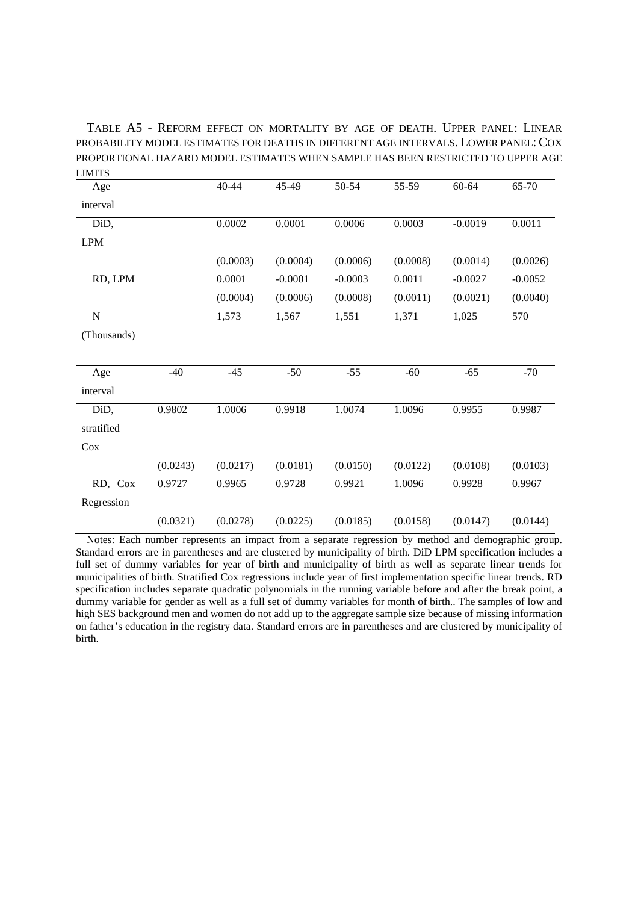TABLE A5 - REFORM EFFECT ON MORTALITY BY AGE OF DEATH. UPPER PANEL: LINEAR PROBABILITY MODEL ESTIMATES FOR DEATHS IN DIFFERENT AGE INTERVALS. LOWER PANEL:COX PROPORTIONAL HAZARD MODEL ESTIMATES WHEN SAMPLE HAS BEEN RESTRICTED TO UPPER AGE LIMITS

| Age         |          | 40-44    | 45-49     | 50-54     | 55-59    | 60-64     | 65-70     |
|-------------|----------|----------|-----------|-----------|----------|-----------|-----------|
| interval    |          |          |           |           |          |           |           |
| DiD,        |          | 0.0002   | 0.0001    | 0.0006    | 0.0003   | $-0.0019$ | 0.0011    |
| <b>LPM</b>  |          |          |           |           |          |           |           |
|             |          | (0.0003) | (0.0004)  | (0.0006)  | (0.0008) | (0.0014)  | (0.0026)  |
| RD, LPM     |          | 0.0001   | $-0.0001$ | $-0.0003$ | 0.0011   | $-0.0027$ | $-0.0052$ |
|             |          | (0.0004) | (0.0006)  | (0.0008)  | (0.0011) | (0.0021)  | (0.0040)  |
| $\mathbf N$ |          | 1,573    | 1,567     | 1,551     | 1,371    | 1,025     | 570       |
| (Thousands) |          |          |           |           |          |           |           |
|             |          |          |           |           |          |           |           |
| Age         | $-40$    | $-45$    | $-50$     | $-55$     | $-60$    | $-65$     | $-70$     |
| interval    |          |          |           |           |          |           |           |
| DiD,        | 0.9802   | 1.0006   | 0.9918    | 1.0074    | 1.0096   | 0.9955    | 0.9987    |
| stratified  |          |          |           |           |          |           |           |
| Cox         |          |          |           |           |          |           |           |
|             | (0.0243) | (0.0217) | (0.0181)  | (0.0150)  | (0.0122) | (0.0108)  | (0.0103)  |
| RD, Cox     | 0.9727   | 0.9965   | 0.9728    | 0.9921    | 1.0096   | 0.9928    | 0.9967    |
| Regression  |          |          |           |           |          |           |           |
|             | (0.0321) | (0.0278) | (0.0225)  | (0.0185)  | (0.0158) | (0.0147)  | (0.0144)  |

Notes: Each number represents an impact from a separate regression by method and demographic group. Standard errors are in parentheses and are clustered by municipality of birth. DiD LPM specification includes a full set of dummy variables for year of birth and municipality of birth as well as separate linear trends for municipalities of birth. Stratified Cox regressions include year of first implementation specific linear trends. RD specification includes separate quadratic polynomials in the running variable before and after the break point, a dummy variable for gender as well as a full set of dummy variables for month of birth.. The samples of low and high SES background men and women do not add up to the aggregate sample size because of missing information on father's education in the registry data. Standard errors are in parentheses and are clustered by municipality of birth.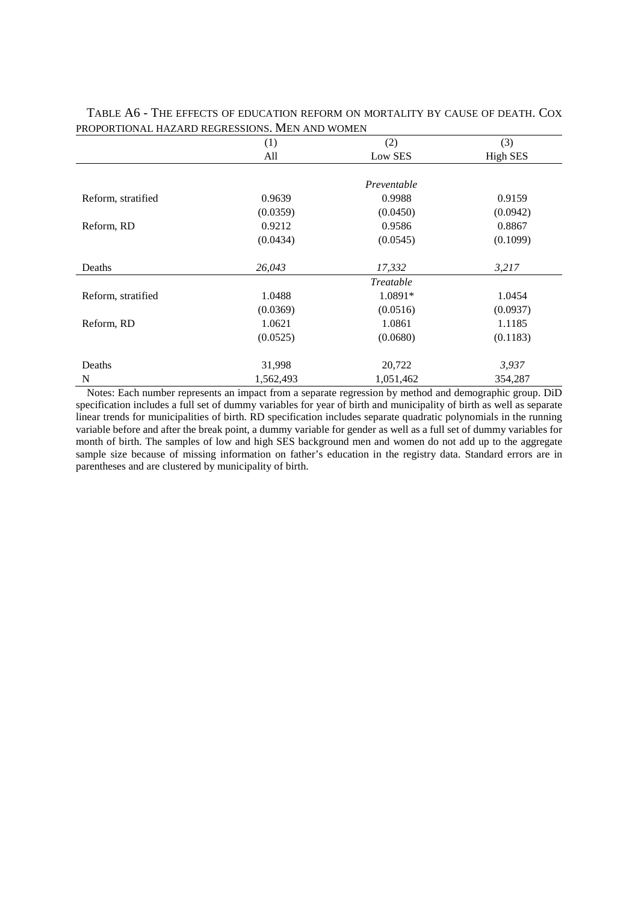|                    | (1)       | (2)         | (3)             |
|--------------------|-----------|-------------|-----------------|
|                    | All       | Low SES     | <b>High SES</b> |
|                    |           |             |                 |
|                    |           | Preventable |                 |
| Reform, stratified | 0.9639    | 0.9988      | 0.9159          |
|                    | (0.0359)  | (0.0450)    | (0.0942)        |
| Reform, RD         | 0.9212    | 0.9586      | 0.8867          |
|                    | (0.0434)  | (0.0545)    | (0.1099)        |
|                    |           |             |                 |
| Deaths             | 26,043    | 17,332      | 3,217           |
|                    |           | Treatable   |                 |
| Reform, stratified | 1.0488    | 1.0891*     | 1.0454          |
|                    | (0.0369)  | (0.0516)    | (0.0937)        |
| Reform, RD         | 1.0621    | 1.0861      | 1.1185          |
|                    | (0.0525)  | (0.0680)    | (0.1183)        |
|                    |           |             |                 |
| Deaths             | 31,998    | 20,722      | 3,937           |
| N                  | 1,562,493 | 1,051,462   | 354,287         |

TABLE A6 - THE EFFECTS OF EDUCATION REFORM ON MORTALITY BY CAUSE OF DEATH. COX PROPORTIONAL HAZARD REGRESSIONS. MEN AND WOMEN

Notes: Each number represents an impact from a separate regression by method and demographic group. DiD specification includes a full set of dummy variables for year of birth and municipality of birth as well as separate linear trends for municipalities of birth. RD specification includes separate quadratic polynomials in the running variable before and after the break point, a dummy variable for gender as well as a full set of dummy variables for month of birth. The samples of low and high SES background men and women do not add up to the aggregate sample size because of missing information on father's education in the registry data. Standard errors are in parentheses and are clustered by municipality of birth.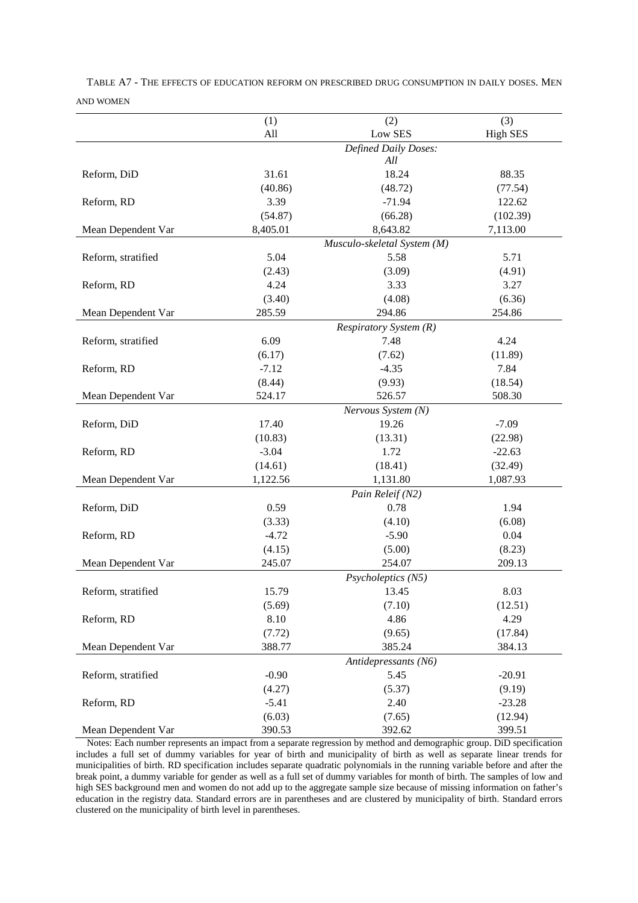|                    | (1)               | (2)                                     | (3)               |
|--------------------|-------------------|-----------------------------------------|-------------------|
|                    | All               | Low SES                                 | <b>High SES</b>   |
|                    |                   | Defined Daily Doses:                    |                   |
| Reform, DiD        | 31.61             | All<br>18.24                            | 88.35             |
|                    |                   |                                         |                   |
|                    | (40.86)<br>3.39   | (48.72)<br>$-71.94$                     | (77.54)<br>122.62 |
| Reform, RD         |                   |                                         |                   |
|                    | (54.87)           | (66.28)                                 | (102.39)          |
| Mean Dependent Var | 8,405.01          | 8,643.82<br>Musculo-skeletal System (M) | 7,113.00          |
| Reform, stratified | 5.04              | 5.58                                    | 5.71              |
|                    |                   | (3.09)                                  |                   |
|                    | (2.43)            |                                         | (4.91)            |
| Reform, RD         | 4.24              | 3.33                                    | 3.27              |
| Mean Dependent Var | (3.40)<br>285.59  | (4.08)<br>294.86                        | (6.36)<br>254.86  |
|                    |                   |                                         |                   |
| Reform, stratified | 6.09              | Respiratory System (R)<br>7.48          | 4.24              |
|                    | (6.17)            | (7.62)                                  |                   |
| Reform, RD         | $-7.12$           | $-4.35$                                 | (11.89)<br>7.84   |
|                    | (8.44)            | (9.93)                                  | (18.54)           |
| Mean Dependent Var | 524.17            | 526.57                                  | 508.30            |
|                    |                   |                                         |                   |
| Reform, DiD        | 17.40             | Nervous System (N)<br>19.26             | $-7.09$           |
|                    | (10.83)           | (13.31)                                 | (22.98)           |
| Reform, RD         | $-3.04$           | 1.72                                    | $-22.63$          |
|                    |                   |                                         |                   |
|                    | (14.61)           | (18.41)                                 | (32.49)           |
| Mean Dependent Var | 1,122.56          | 1,131.80                                | 1,087.93          |
| Reform, DiD        | 0.59              | Pain Releif (N2)<br>0.78                | 1.94              |
|                    |                   |                                         |                   |
|                    | (3.33)<br>$-4.72$ | (4.10)<br>$-5.90$                       | (6.08)<br>0.04    |
| Reform, RD         | (4.15)            | (5.00)                                  | (8.23)            |
| Mean Dependent Var | 245.07            | 254.07                                  | 209.13            |
|                    |                   |                                         |                   |
|                    | 15.79             | Psycholeptics (N5)<br>13.45             | 8.03              |
| Reform, stratified | (5.69)            | (7.10)                                  | (12.51)           |
| Reform, RD         | 8.10              | 4.86                                    | 4.29              |
|                    | (7.72)            | (9.65)                                  | (17.84)           |
| Mean Dependent Var | 388.77            | 385.24                                  | 384.13            |
|                    |                   |                                         |                   |
|                    | $-0.90$           | Antidepressants (N6)<br>5.45            |                   |
| Reform, stratified |                   |                                         | $-20.91$          |
|                    | (4.27)            | (5.37)                                  | (9.19)            |
| Reform, RD         | $-5.41$           | 2.40                                    | $-23.28$          |
|                    | (6.03)            | (7.65)                                  | (12.94)           |
| Mean Dependent Var | 390.53            | 392.62                                  | 399.51            |

TABLE A7 - THE EFFECTS OF EDUCATION REFORM ON PRESCRIBED DRUG CONSUMPTION IN DAILY DOSES. MEN AND WOMEN

Notes: Each number represents an impact from a separate regression by method and demographic group. DiD specification includes a full set of dummy variables for year of birth and municipality of birth as well as separate linear trends for municipalities of birth. RD specification includes separate quadratic polynomials in the running variable before and after the break point, a dummy variable for gender as well as a full set of dummy variables for month of birth. The samples of low and high SES background men and women do not add up to the aggregate sample size because of missing information on father's education in the registry data. Standard errors are in parentheses and are clustered by municipality of birth. Standard errors clustered on the municipality of birth level in parentheses.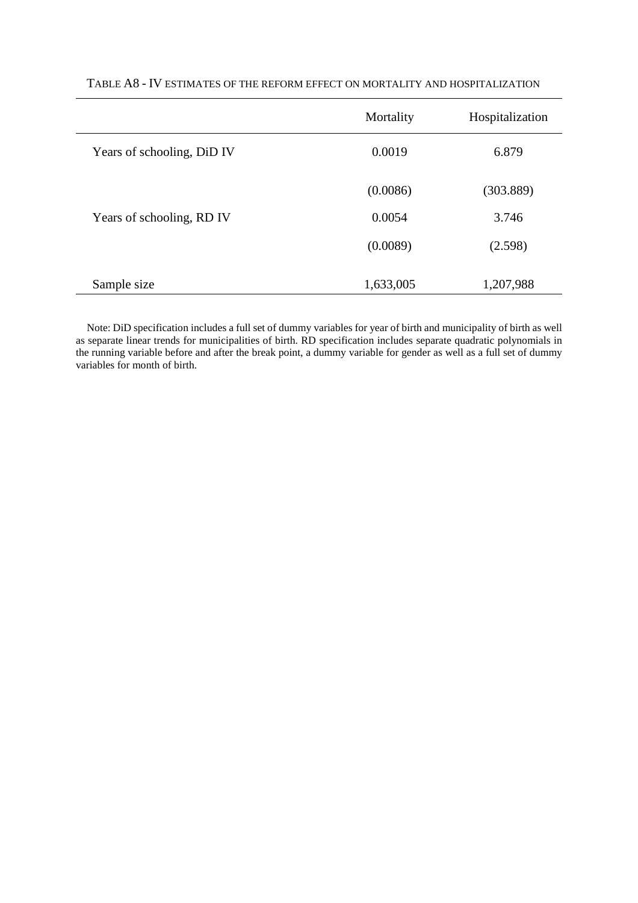|                            | Mortality | Hospitalization |
|----------------------------|-----------|-----------------|
| Years of schooling, DiD IV | 0.0019    | 6.879           |
|                            | (0.0086)  | (303.889)       |
| Years of schooling, RD IV  | 0.0054    | 3.746           |
|                            | (0.0089)  | (2.598)         |
| Sample size                | 1,633,005 | 1,207,988       |

## TABLE A8 - IV ESTIMATES OF THE REFORM EFFECT ON MORTALITY AND HOSPITALIZATION

Note: DiD specification includes a full set of dummy variables for year of birth and municipality of birth as well as separate linear trends for municipalities of birth. RD specification includes separate quadratic polynomials in the running variable before and after the break point, a dummy variable for gender as well as a full set of dummy variables for month of birth.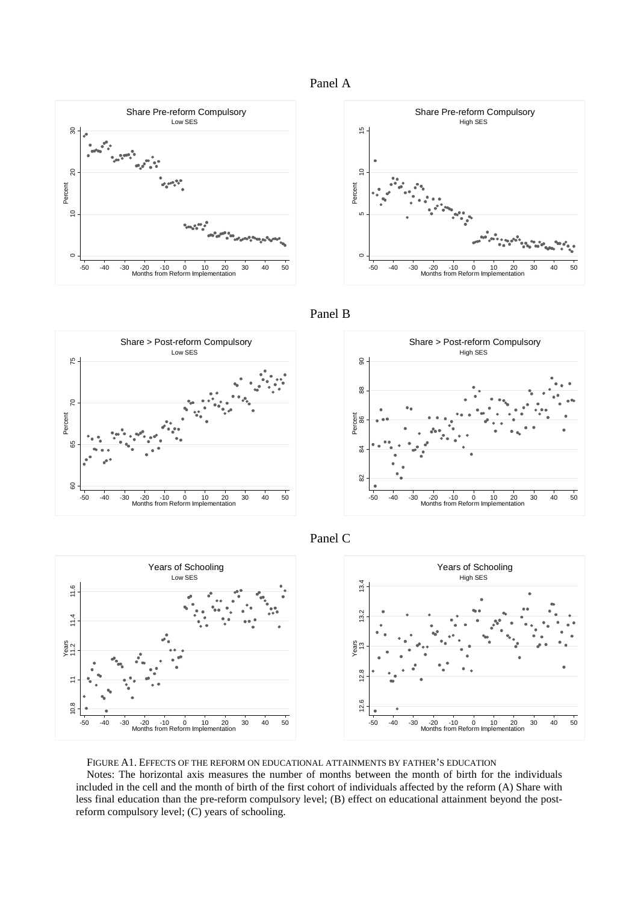





Panel B









FIGURE A1. EFFECTS OF THE REFORM ON EDUCATIONAL ATTAINMENTS BY FATHER'S EDUCATION

Notes: The horizontal axis measures the number of months between the month of birth for the individuals included in the cell and the month of birth of the first cohort of individuals affected by the reform (A) Share with less final education than the pre-reform compulsory level; (B) effect on educational attainment beyond the postreform compulsory level; (C) years of schooling.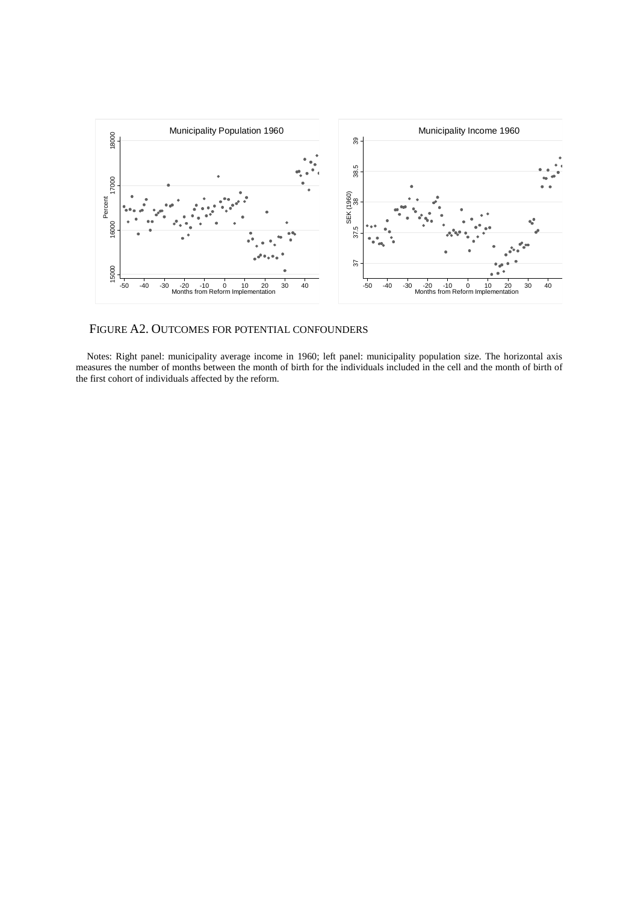

## FIGURE A2. OUTCOMES FOR POTENTIAL CONFOUNDERS

Notes: Right panel: municipality average income in 1960; left panel: municipality population size. The horizontal axis measures the number of months between the month of birth for the individuals included in the cell and the month of birth of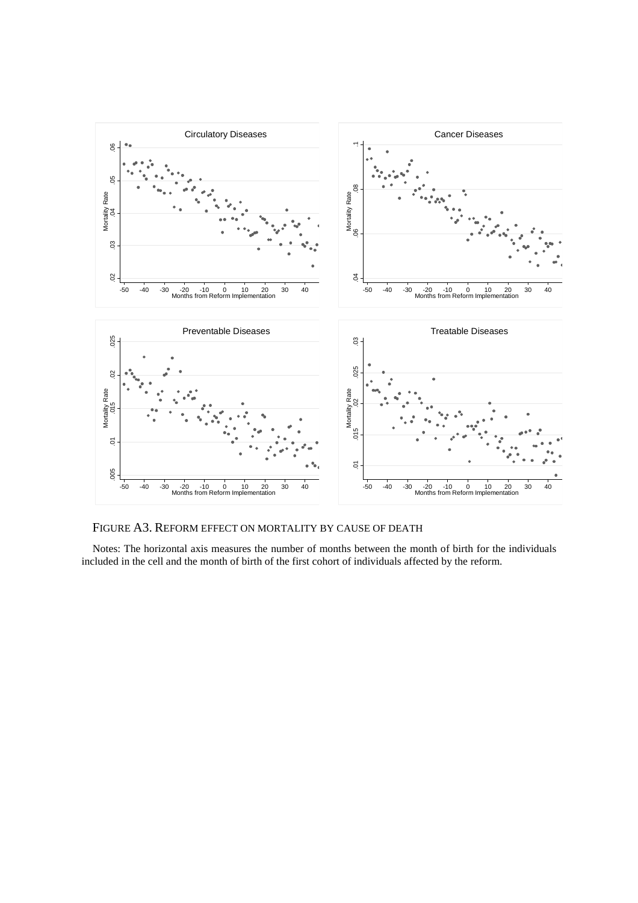

FIGURE A3. REFORM EFFECT ON MORTALITY BY CAUSE OF DEATH

Notes: The horizontal axis measures the number of months between the month of birth for the individuals included in the cell and the month of birth of the first cohort of individuals affected by the reform.